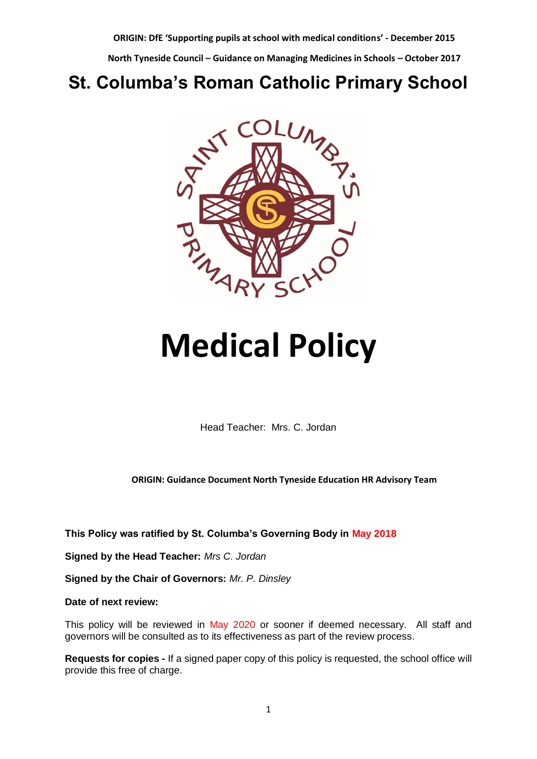**North Tyneside Council – Guidance on Managing Medicines in Schools – October 2017**

## **St. Columba's Roman Catholic Primary School**



# **Medical Policy**

Head Teacher: Mrs. C. Jordan

**ORIGIN: Guidance Document North Tyneside Education HR Advisory Team**

**This Policy was ratified by St. Columba's Governing Body in May 2018**

**Signed by the Head Teacher:** *Mrs C. Jordan*

**Signed by the Chair of Governors:** *Mr. P. Dinsley*

**Date of next review:** 

This policy will be reviewed in May 2020 or sooner if deemed necessary. All staff and governors will be consulted as to its effectiveness as part of the review process.

**Requests for copies -** If a signed paper copy of this policy is requested, the school office will provide this free of charge.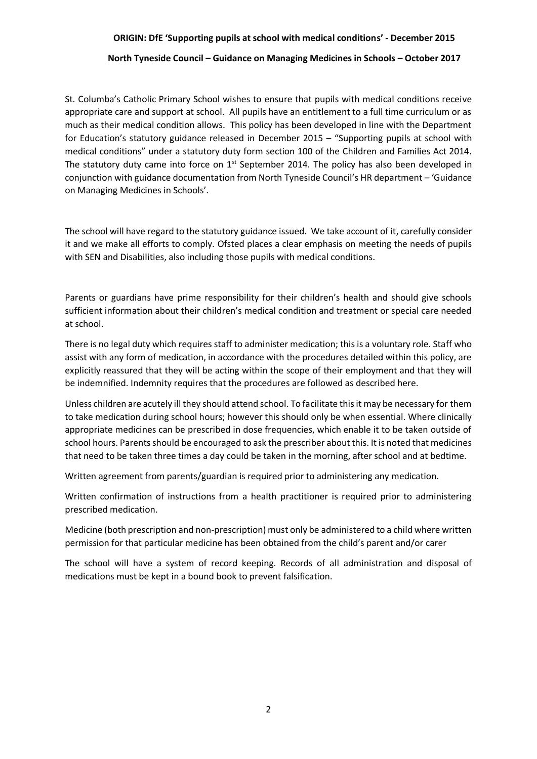#### **North Tyneside Council – Guidance on Managing Medicines in Schools – October 2017**

St. Columba's Catholic Primary School wishes to ensure that pupils with medical conditions receive appropriate care and support at school. All pupils have an entitlement to a full time curriculum or as much as their medical condition allows. This policy has been developed in line with the Department for Education's statutory guidance released in December 2015 – "Supporting pupils at school with medical conditions" under a statutory duty form section 100 of the Children and Families Act 2014. The statutory duty came into force on  $1<sup>st</sup>$  September 2014. The policy has also been developed in conjunction with guidance documentation from North Tyneside Council's HR department – 'Guidance on Managing Medicines in Schools'.

The school will have regard to the statutory guidance issued. We take account of it, carefully consider it and we make all efforts to comply. Ofsted places a clear emphasis on meeting the needs of pupils with SEN and Disabilities, also including those pupils with medical conditions.

Parents or guardians have prime responsibility for their children's health and should give schools sufficient information about their children's medical condition and treatment or special care needed at school.

There is no legal duty which requires staff to administer medication; this is a voluntary role. Staff who assist with any form of medication, in accordance with the procedures detailed within this policy, are explicitly reassured that they will be acting within the scope of their employment and that they will be indemnified. Indemnity requires that the procedures are followed as described here.

Unless children are acutely ill they should attend school. To facilitate this it may be necessary for them to take medication during school hours; however this should only be when essential. Where clinically appropriate medicines can be prescribed in dose frequencies, which enable it to be taken outside of school hours. Parents should be encouraged to ask the prescriber about this. It is noted that medicines that need to be taken three times a day could be taken in the morning, after school and at bedtime.

Written agreement from parents/guardian is required prior to administering any medication.

Written confirmation of instructions from a health practitioner is required prior to administering prescribed medication.

Medicine (both prescription and non-prescription) must only be administered to a child where written permission for that particular medicine has been obtained from the child's parent and/or carer

The school will have a system of record keeping. Records of all administration and disposal of medications must be kept in a bound book to prevent falsification.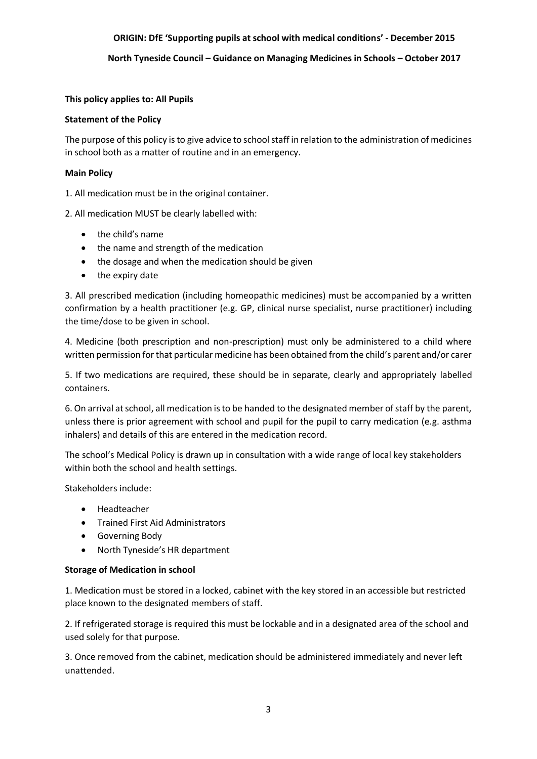**North Tyneside Council – Guidance on Managing Medicines in Schools – October 2017**

#### **This policy applies to: All Pupils**

#### **Statement of the Policy**

The purpose of this policy is to give advice to school staff in relation to the administration of medicines in school both as a matter of routine and in an emergency.

#### **Main Policy**

1. All medication must be in the original container.

2. All medication MUST be clearly labelled with:

- the child's name
- the name and strength of the medication
- the dosage and when the medication should be given
- the expiry date

3. All prescribed medication (including homeopathic medicines) must be accompanied by a written confirmation by a health practitioner (e.g. GP, clinical nurse specialist, nurse practitioner) including the time/dose to be given in school.

4. Medicine (both prescription and non-prescription) must only be administered to a child where written permission for that particular medicine has been obtained from the child's parent and/or carer

5. If two medications are required, these should be in separate, clearly and appropriately labelled containers.

6. On arrival at school, all medication is to be handed to the designated member of staff by the parent, unless there is prior agreement with school and pupil for the pupil to carry medication (e.g. asthma inhalers) and details of this are entered in the medication record.

The school's Medical Policy is drawn up in consultation with a wide range of local key stakeholders within both the school and health settings.

Stakeholders include:

- Headteacher
- **•** Trained First Aid Administrators
- Governing Body
- North Tyneside's HR department

#### **Storage of Medication in school**

1. Medication must be stored in a locked, cabinet with the key stored in an accessible but restricted place known to the designated members of staff.

2. If refrigerated storage is required this must be lockable and in a designated area of the school and used solely for that purpose.

3. Once removed from the cabinet, medication should be administered immediately and never left unattended.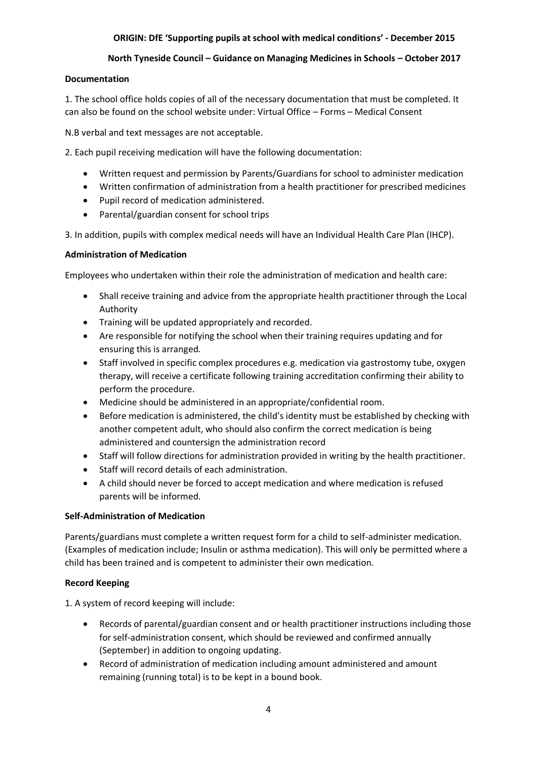#### **North Tyneside Council – Guidance on Managing Medicines in Schools – October 2017**

#### **Documentation**

1. The school office holds copies of all of the necessary documentation that must be completed. It can also be found on the school website under: Virtual Office – Forms – Medical Consent

N.B verbal and text messages are not acceptable.

2. Each pupil receiving medication will have the following documentation:

- Written request and permission by Parents/Guardians for school to administer medication
- Written confirmation of administration from a health practitioner for prescribed medicines
- Pupil record of medication administered.
- Parental/guardian consent for school trips

3. In addition, pupils with complex medical needs will have an Individual Health Care Plan (IHCP).

#### **Administration of Medication**

Employees who undertaken within their role the administration of medication and health care:

- Shall receive training and advice from the appropriate health practitioner through the Local Authority
- Training will be updated appropriately and recorded.
- Are responsible for notifying the school when their training requires updating and for ensuring this is arranged.
- Staff involved in specific complex procedures e.g. medication via gastrostomy tube, oxygen therapy, will receive a certificate following training accreditation confirming their ability to perform the procedure.
- Medicine should be administered in an appropriate/confidential room.
- Before medication is administered, the child's identity must be established by checking with another competent adult, who should also confirm the correct medication is being administered and countersign the administration record
- Staff will follow directions for administration provided in writing by the health practitioner.
- Staff will record details of each administration.
- A child should never be forced to accept medication and where medication is refused parents will be informed.

#### **Self-Administration of Medication**

Parents/guardians must complete a written request form for a child to self-administer medication. (Examples of medication include; Insulin or asthma medication). This will only be permitted where a child has been trained and is competent to administer their own medication.

#### **Record Keeping**

1. A system of record keeping will include:

- Records of parental/guardian consent and or health practitioner instructions including those for self-administration consent, which should be reviewed and confirmed annually (September) in addition to ongoing updating.
- Record of administration of medication including amount administered and amount remaining (running total) is to be kept in a bound book.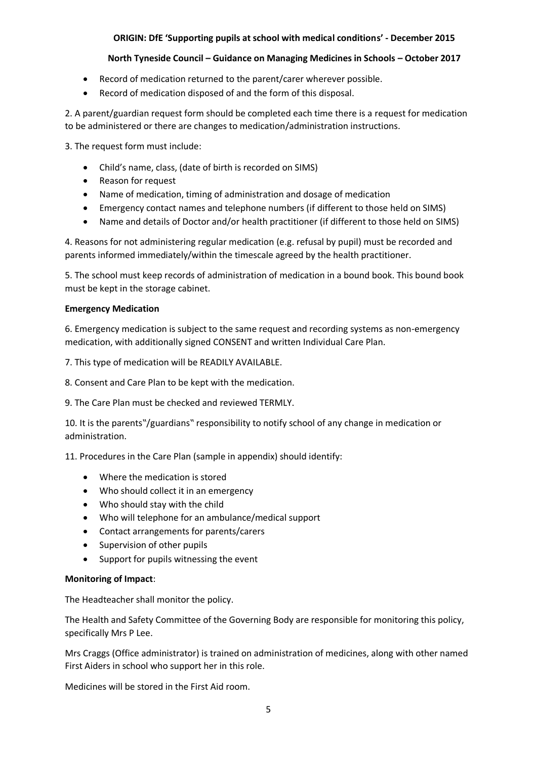#### **North Tyneside Council – Guidance on Managing Medicines in Schools – October 2017**

- Record of medication returned to the parent/carer wherever possible.
- Record of medication disposed of and the form of this disposal.

2. A parent/guardian request form should be completed each time there is a request for medication to be administered or there are changes to medication/administration instructions.

3. The request form must include:

- Child's name, class, (date of birth is recorded on SIMS)
- Reason for request
- Name of medication, timing of administration and dosage of medication
- Emergency contact names and telephone numbers (if different to those held on SIMS)
- Name and details of Doctor and/or health practitioner (if different to those held on SIMS)

4. Reasons for not administering regular medication (e.g. refusal by pupil) must be recorded and parents informed immediately/within the timescale agreed by the health practitioner.

5. The school must keep records of administration of medication in a bound book. This bound book must be kept in the storage cabinet.

#### **Emergency Medication**

6. Emergency medication is subject to the same request and recording systems as non-emergency medication, with additionally signed CONSENT and written Individual Care Plan.

7. This type of medication will be READILY AVAILABLE.

8. Consent and Care Plan to be kept with the medication.

9. The Care Plan must be checked and reviewed TERMLY.

10. It is the parents"/guardians" responsibility to notify school of any change in medication or administration.

11. Procedures in the Care Plan (sample in appendix) should identify:

- Where the medication is stored
- Who should collect it in an emergency
- Who should stay with the child
- Who will telephone for an ambulance/medical support
- Contact arrangements for parents/carers
- Supervision of other pupils
- Support for pupils witnessing the event

#### **Monitoring of Impact**:

The Headteacher shall monitor the policy.

The Health and Safety Committee of the Governing Body are responsible for monitoring this policy, specifically Mrs P Lee.

Mrs Craggs (Office administrator) is trained on administration of medicines, along with other named First Aiders in school who support her in this role.

Medicines will be stored in the First Aid room.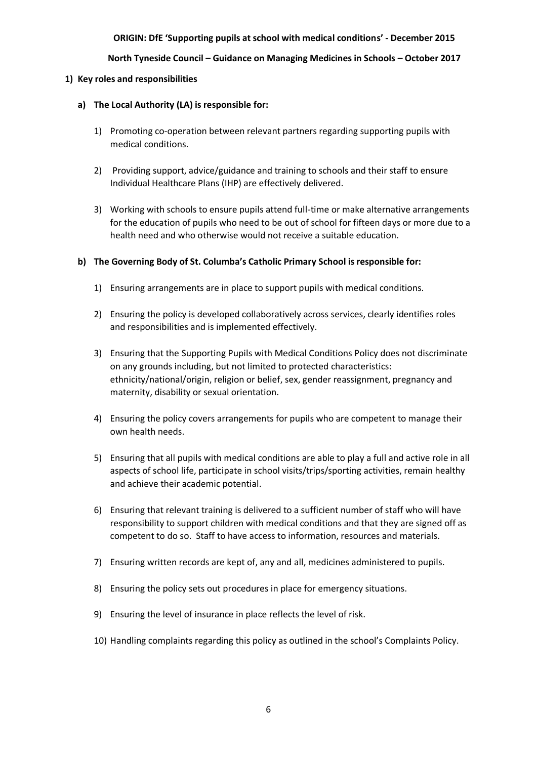**North Tyneside Council – Guidance on Managing Medicines in Schools – October 2017**

#### **1) Key roles and responsibilities**

#### **a) The Local Authority (LA) is responsible for:**

- 1) Promoting co-operation between relevant partners regarding supporting pupils with medical conditions.
- 2) Providing support, advice/guidance and training to schools and their staff to ensure Individual Healthcare Plans (IHP) are effectively delivered.
- 3) Working with schools to ensure pupils attend full-time or make alternative arrangements for the education of pupils who need to be out of school for fifteen days or more due to a health need and who otherwise would not receive a suitable education.

#### **b) The Governing Body of St. Columba's Catholic Primary School is responsible for:**

- 1) Ensuring arrangements are in place to support pupils with medical conditions.
- 2) Ensuring the policy is developed collaboratively across services, clearly identifies roles and responsibilities and is implemented effectively.
- 3) Ensuring that the Supporting Pupils with Medical Conditions Policy does not discriminate on any grounds including, but not limited to protected characteristics: ethnicity/national/origin, religion or belief, sex, gender reassignment, pregnancy and maternity, disability or sexual orientation.
- 4) Ensuring the policy covers arrangements for pupils who are competent to manage their own health needs.
- 5) Ensuring that all pupils with medical conditions are able to play a full and active role in all aspects of school life, participate in school visits/trips/sporting activities, remain healthy and achieve their academic potential.
- 6) Ensuring that relevant training is delivered to a sufficient number of staff who will have responsibility to support children with medical conditions and that they are signed off as competent to do so. Staff to have access to information, resources and materials.
- 7) Ensuring written records are kept of, any and all, medicines administered to pupils.
- 8) Ensuring the policy sets out procedures in place for emergency situations.
- 9) Ensuring the level of insurance in place reflects the level of risk.
- 10) Handling complaints regarding this policy as outlined in the school's Complaints Policy.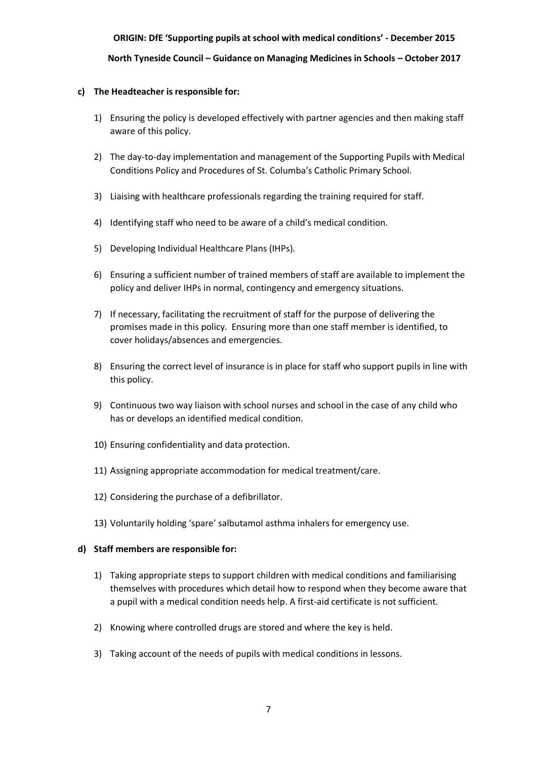### **ORIGIN: DfE 'Supporting pupils at school with medical conditions' - December 2015 North Tyneside Council – Guidance on Managing Medicines in Schools – October 2017**

#### **c) The Headteacher is responsible for:**

- 1) Ensuring the policy is developed effectively with partner agencies and then making staff aware of this policy.
- 2) The day-to-day implementation and management of the Supporting Pupils with Medical Conditions Policy and Procedures of St. Columba's Catholic Primary School.
- 3) Liaising with healthcare professionals regarding the training required for staff.
- 4) Identifying staff who need to be aware of a child's medical condition.
- 5) Developing Individual Healthcare Plans (IHPs).
- 6) Ensuring a sufficient number of trained members of staff are available to implement the policy and deliver IHPs in normal, contingency and emergency situations.
- 7) If necessary, facilitating the recruitment of staff for the purpose of delivering the promises made in this policy. Ensuring more than one staff member is identified, to cover holidays/absences and emergencies.
- 8) Ensuring the correct level of insurance is in place for staff who support pupils in line with this policy.
- 9) Continuous two way liaison with school nurses and school in the case of any child who has or develops an identified medical condition.
- 10) Ensuring confidentiality and data protection.
- 11) Assigning appropriate accommodation for medical treatment/care.
- 12) Considering the purchase of a defibrillator.
- 13) Voluntarily holding 'spare' salbutamol asthma inhalers for emergency use.

#### **d) Staff members are responsible for:**

- 1) Taking appropriate steps to support children with medical conditions and familiarising themselves with procedures which detail how to respond when they become aware that a pupil with a medical condition needs help. A first-aid certificate is not sufficient.
- 2) Knowing where controlled drugs are stored and where the key is held.
- 3) Taking account of the needs of pupils with medical conditions in lessons.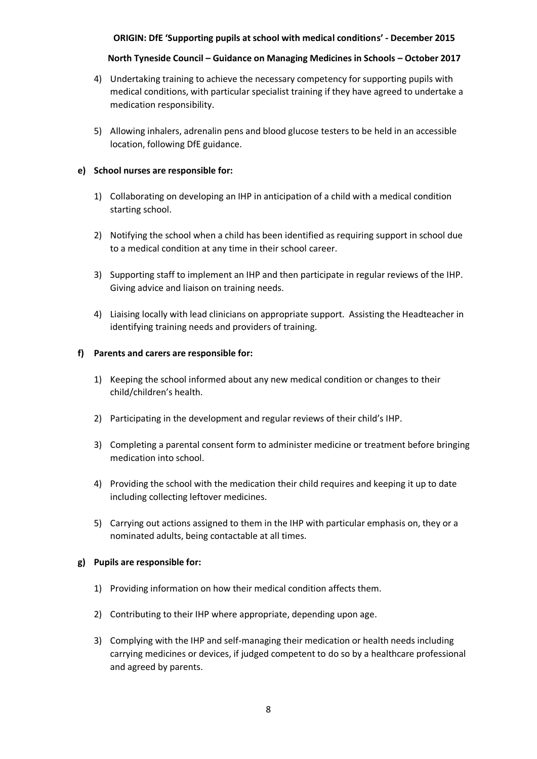#### **North Tyneside Council – Guidance on Managing Medicines in Schools – October 2017**

- 4) Undertaking training to achieve the necessary competency for supporting pupils with medical conditions, with particular specialist training if they have agreed to undertake a medication responsibility.
- 5) Allowing inhalers, adrenalin pens and blood glucose testers to be held in an accessible location, following DfE guidance.

#### **e) School nurses are responsible for:**

- 1) Collaborating on developing an IHP in anticipation of a child with a medical condition starting school.
- 2) Notifying the school when a child has been identified as requiring support in school due to a medical condition at any time in their school career.
- 3) Supporting staff to implement an IHP and then participate in regular reviews of the IHP. Giving advice and liaison on training needs.
- 4) Liaising locally with lead clinicians on appropriate support. Assisting the Headteacher in identifying training needs and providers of training.

#### **f) Parents and carers are responsible for:**

- 1) Keeping the school informed about any new medical condition or changes to their child/children's health.
- 2) Participating in the development and regular reviews of their child's IHP.
- 3) Completing a parental consent form to administer medicine or treatment before bringing medication into school.
- 4) Providing the school with the medication their child requires and keeping it up to date including collecting leftover medicines.
- 5) Carrying out actions assigned to them in the IHP with particular emphasis on, they or a nominated adults, being contactable at all times.

#### **g) Pupils are responsible for:**

- 1) Providing information on how their medical condition affects them.
- 2) Contributing to their IHP where appropriate, depending upon age.
- 3) Complying with the IHP and self-managing their medication or health needs including carrying medicines or devices, if judged competent to do so by a healthcare professional and agreed by parents.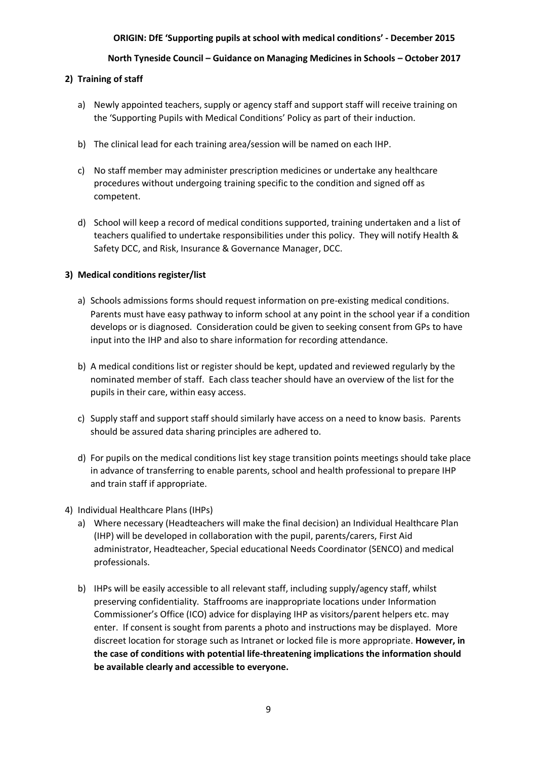#### **North Tyneside Council – Guidance on Managing Medicines in Schools – October 2017**

#### **2) Training of staff**

- a) Newly appointed teachers, supply or agency staff and support staff will receive training on the 'Supporting Pupils with Medical Conditions' Policy as part of their induction.
- b) The clinical lead for each training area/session will be named on each IHP.
- c) No staff member may administer prescription medicines or undertake any healthcare procedures without undergoing training specific to the condition and signed off as competent.
- d) School will keep a record of medical conditions supported, training undertaken and a list of teachers qualified to undertake responsibilities under this policy. They will notify Health & Safety DCC, and Risk, Insurance & Governance Manager, DCC.

#### **3) Medical conditions register/list**

- a) Schools admissions forms should request information on pre-existing medical conditions. Parents must have easy pathway to inform school at any point in the school year if a condition develops or is diagnosed. Consideration could be given to seeking consent from GPs to have input into the IHP and also to share information for recording attendance.
- b) A medical conditions list or register should be kept, updated and reviewed regularly by the nominated member of staff. Each class teacher should have an overview of the list for the pupils in their care, within easy access.
- c) Supply staff and support staff should similarly have access on a need to know basis. Parents should be assured data sharing principles are adhered to.
- d) For pupils on the medical conditions list key stage transition points meetings should take place in advance of transferring to enable parents, school and health professional to prepare IHP and train staff if appropriate.
- 4) Individual Healthcare Plans (IHPs)
	- a) Where necessary (Headteachers will make the final decision) an Individual Healthcare Plan (IHP) will be developed in collaboration with the pupil, parents/carers, First Aid administrator, Headteacher, Special educational Needs Coordinator (SENCO) and medical professionals.
	- b) IHPs will be easily accessible to all relevant staff, including supply/agency staff, whilst preserving confidentiality. Staffrooms are inappropriate locations under Information Commissioner's Office (ICO) advice for displaying IHP as visitors/parent helpers etc. may enter. If consent is sought from parents a photo and instructions may be displayed. More discreet location for storage such as Intranet or locked file is more appropriate. **However, in the case of conditions with potential life-threatening implications the information should be available clearly and accessible to everyone.**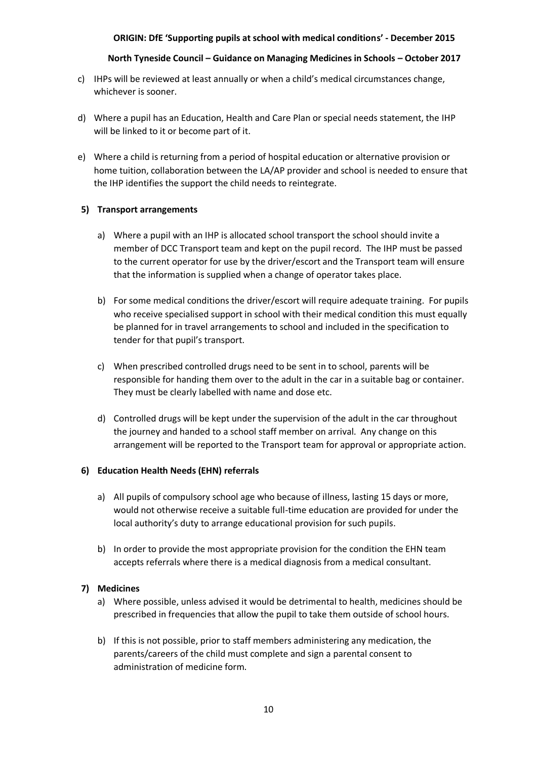#### **North Tyneside Council – Guidance on Managing Medicines in Schools – October 2017**

- c) IHPs will be reviewed at least annually or when a child's medical circumstances change, whichever is sooner.
- d) Where a pupil has an Education, Health and Care Plan or special needs statement, the IHP will be linked to it or become part of it.
- e) Where a child is returning from a period of hospital education or alternative provision or home tuition, collaboration between the LA/AP provider and school is needed to ensure that the IHP identifies the support the child needs to reintegrate.

#### **5) Transport arrangements**

- a) Where a pupil with an IHP is allocated school transport the school should invite a member of DCC Transport team and kept on the pupil record. The IHP must be passed to the current operator for use by the driver/escort and the Transport team will ensure that the information is supplied when a change of operator takes place.
- b) For some medical conditions the driver/escort will require adequate training. For pupils who receive specialised support in school with their medical condition this must equally be planned for in travel arrangements to school and included in the specification to tender for that pupil's transport.
- c) When prescribed controlled drugs need to be sent in to school, parents will be responsible for handing them over to the adult in the car in a suitable bag or container. They must be clearly labelled with name and dose etc.
- d) Controlled drugs will be kept under the supervision of the adult in the car throughout the journey and handed to a school staff member on arrival. Any change on this arrangement will be reported to the Transport team for approval or appropriate action.

#### **6) Education Health Needs (EHN) referrals**

- a) All pupils of compulsory school age who because of illness, lasting 15 days or more, would not otherwise receive a suitable full-time education are provided for under the local authority's duty to arrange educational provision for such pupils.
- b) In order to provide the most appropriate provision for the condition the EHN team accepts referrals where there is a medical diagnosis from a medical consultant.

#### **7) Medicines**

- a) Where possible, unless advised it would be detrimental to health, medicines should be prescribed in frequencies that allow the pupil to take them outside of school hours.
- b) If this is not possible, prior to staff members administering any medication, the parents/careers of the child must complete and sign a parental consent to administration of medicine form.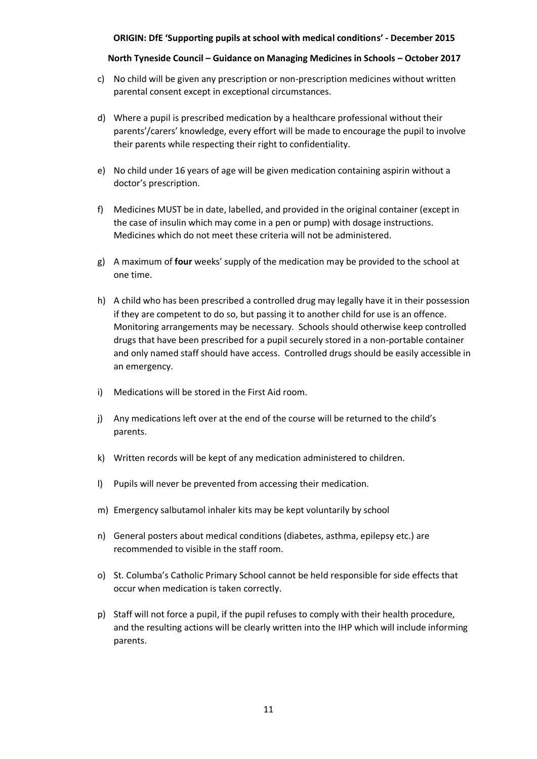#### **North Tyneside Council – Guidance on Managing Medicines in Schools – October 2017**

- c) No child will be given any prescription or non-prescription medicines without written parental consent except in exceptional circumstances.
- d) Where a pupil is prescribed medication by a healthcare professional without their parents'/carers' knowledge, every effort will be made to encourage the pupil to involve their parents while respecting their right to confidentiality.
- e) No child under 16 years of age will be given medication containing aspirin without a doctor's prescription.
- f) Medicines MUST be in date, labelled, and provided in the original container (except in the case of insulin which may come in a pen or pump) with dosage instructions. Medicines which do not meet these criteria will not be administered.
- g) A maximum of **four** weeks' supply of the medication may be provided to the school at one time.
- h) A child who has been prescribed a controlled drug may legally have it in their possession if they are competent to do so, but passing it to another child for use is an offence. Monitoring arrangements may be necessary. Schools should otherwise keep controlled drugs that have been prescribed for a pupil securely stored in a non-portable container and only named staff should have access. Controlled drugs should be easily accessible in an emergency.
- i) Medications will be stored in the First Aid room.
- j) Any medications left over at the end of the course will be returned to the child's parents.
- k) Written records will be kept of any medication administered to children.
- l) Pupils will never be prevented from accessing their medication.
- m) Emergency salbutamol inhaler kits may be kept voluntarily by school
- n) General posters about medical conditions (diabetes, asthma, epilepsy etc.) are recommended to visible in the staff room.
- o) St. Columba's Catholic Primary School cannot be held responsible for side effects that occur when medication is taken correctly.
- p) Staff will not force a pupil, if the pupil refuses to comply with their health procedure, and the resulting actions will be clearly written into the IHP which will include informing parents.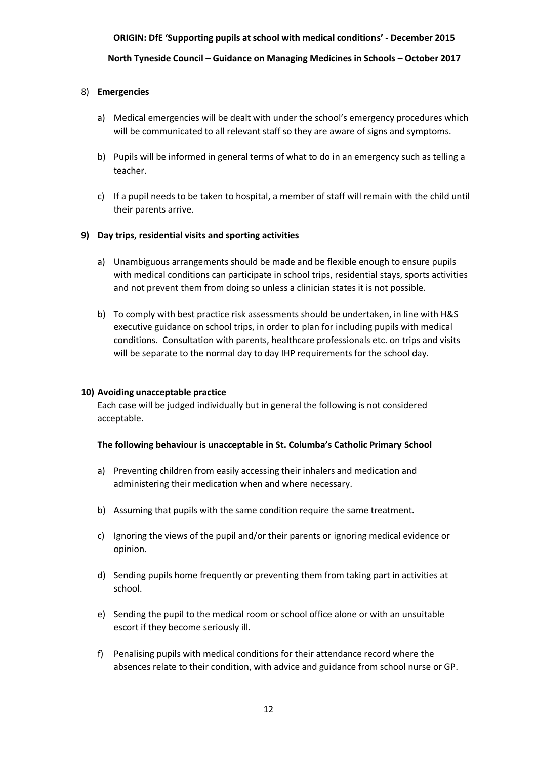**North Tyneside Council – Guidance on Managing Medicines in Schools – October 2017**

#### 8) **Emergencies**

- a) Medical emergencies will be dealt with under the school's emergency procedures which will be communicated to all relevant staff so they are aware of signs and symptoms.
- b) Pupils will be informed in general terms of what to do in an emergency such as telling a teacher.
- c) If a pupil needs to be taken to hospital, a member of staff will remain with the child until their parents arrive.

#### **9) Day trips, residential visits and sporting activities**

- a) Unambiguous arrangements should be made and be flexible enough to ensure pupils with medical conditions can participate in school trips, residential stays, sports activities and not prevent them from doing so unless a clinician states it is not possible.
- b) To comply with best practice risk assessments should be undertaken, in line with H&S executive guidance on school trips, in order to plan for including pupils with medical conditions. Consultation with parents, healthcare professionals etc. on trips and visits will be separate to the normal day to day IHP requirements for the school day.

#### **10) Avoiding unacceptable practice**

Each case will be judged individually but in general the following is not considered acceptable.

#### **The following behaviour is unacceptable in St. Columba's Catholic Primary School**

- a) Preventing children from easily accessing their inhalers and medication and administering their medication when and where necessary.
- b) Assuming that pupils with the same condition require the same treatment.
- c) Ignoring the views of the pupil and/or their parents or ignoring medical evidence or opinion.
- d) Sending pupils home frequently or preventing them from taking part in activities at school.
- e) Sending the pupil to the medical room or school office alone or with an unsuitable escort if they become seriously ill.
- f) Penalising pupils with medical conditions for their attendance record where the absences relate to their condition, with advice and guidance from school nurse or GP.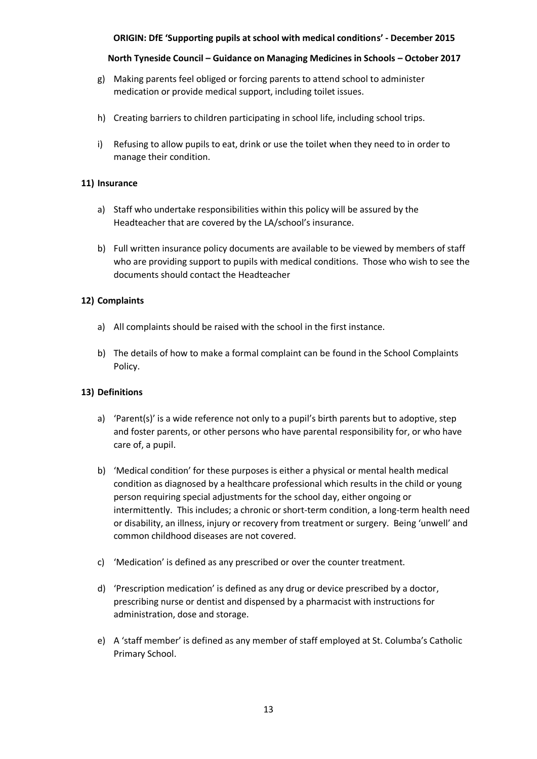#### **North Tyneside Council – Guidance on Managing Medicines in Schools – October 2017**

- g) Making parents feel obliged or forcing parents to attend school to administer medication or provide medical support, including toilet issues.
- h) Creating barriers to children participating in school life, including school trips.
- i) Refusing to allow pupils to eat, drink or use the toilet when they need to in order to manage their condition.

#### **11) Insurance**

- a) Staff who undertake responsibilities within this policy will be assured by the Headteacher that are covered by the LA/school's insurance.
- b) Full written insurance policy documents are available to be viewed by members of staff who are providing support to pupils with medical conditions. Those who wish to see the documents should contact the Headteacher

#### **12) Complaints**

- a) All complaints should be raised with the school in the first instance.
- b) The details of how to make a formal complaint can be found in the School Complaints Policy.

#### **13) Definitions**

- a) 'Parent(s)' is a wide reference not only to a pupil's birth parents but to adoptive, step and foster parents, or other persons who have parental responsibility for, or who have care of, a pupil.
- b) 'Medical condition' for these purposes is either a physical or mental health medical condition as diagnosed by a healthcare professional which results in the child or young person requiring special adjustments for the school day, either ongoing or intermittently. This includes; a chronic or short-term condition, a long-term health need or disability, an illness, injury or recovery from treatment or surgery. Being 'unwell' and common childhood diseases are not covered.
- c) 'Medication' is defined as any prescribed or over the counter treatment.
- d) 'Prescription medication' is defined as any drug or device prescribed by a doctor, prescribing nurse or dentist and dispensed by a pharmacist with instructions for administration, dose and storage.
- e) A 'staff member' is defined as any member of staff employed at St. Columba's Catholic Primary School.